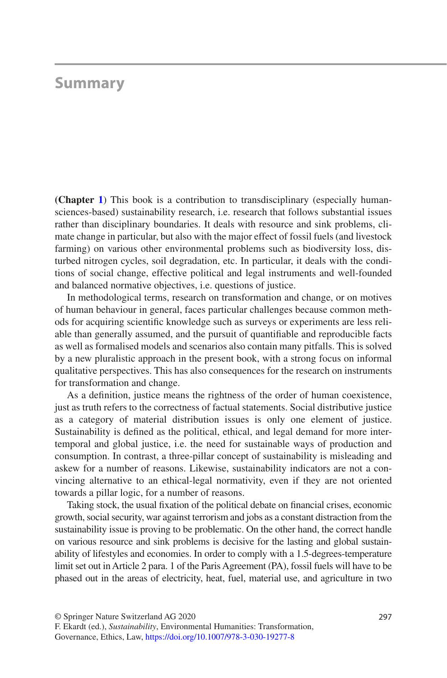# **Summary**

**(Chapter [1](https://doi.org/10.1007/978-3-030-19277-8_1)**) This book is a contribution to transdisciplinary (especially humansciences-based) sustainability research, i.e. research that follows substantial issues rather than disciplinary boundaries. It deals with resource and sink problems, climate change in particular, but also with the major effect of fossil fuels (and livestock farming) on various other environmental problems such as biodiversity loss, disturbed nitrogen cycles, soil degradation, etc. In particular, it deals with the conditions of social change, effective political and legal instruments and well-founded and balanced normative objectives, i.e. questions of justice.

In methodological terms, research on transformation and change, or on motives of human behaviour in general, faces particular challenges because common methods for acquiring scientific knowledge such as surveys or experiments are less reliable than generally assumed, and the pursuit of quantifiable and reproducible facts as well as formalised models and scenarios also contain many pitfalls. This is solved by a new pluralistic approach in the present book, with a strong focus on informal qualitative perspectives. This has also consequences for the research on instruments for transformation and change.

As a definition, justice means the rightness of the order of human coexistence, just as truth refers to the correctness of factual statements. Social distributive justice as a category of material distribution issues is only one element of justice. Sustainability is defined as the political, ethical, and legal demand for more intertemporal and global justice, i.e. the need for sustainable ways of production and consumption. In contrast, a three-pillar concept of sustainability is misleading and askew for a number of reasons. Likewise, sustainability indicators are not a convincing alternative to an ethical-legal normativity, even if they are not oriented towards a pillar logic, for a number of reasons.

Taking stock, the usual fixation of the political debate on financial crises, economic growth, social security, war against terrorism and jobs as a constant distraction from the sustainability issue is proving to be problematic. On the other hand, the correct handle on various resource and sink problems is decisive for the lasting and global sustainability of lifestyles and economies. In order to comply with a 1.5-degrees-temperature limit set out in Article 2 para. 1 of the Paris Agreement (PA), fossil fuels will have to be phased out in the areas of electricity, heat, fuel, material use, and agriculture in two

F. Ekardt (ed.), *Sustainability*, Environmental Humanities: Transformation, Governance, Ethics, Law,<https://doi.org/10.1007/978-3-030-19277-8>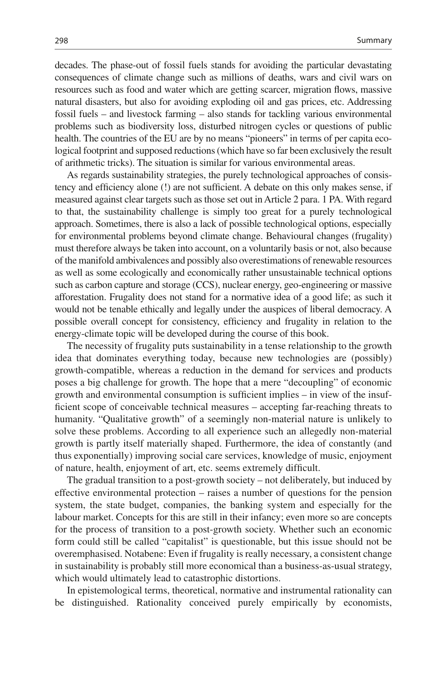decades. The phase-out of fossil fuels stands for avoiding the particular devastating consequences of climate change such as millions of deaths, wars and civil wars on resources such as food and water which are getting scarcer, migration flows, massive natural disasters, but also for avoiding exploding oil and gas prices, etc. Addressing fossil fuels – and livestock farming – also stands for tackling various environmental problems such as biodiversity loss, disturbed nitrogen cycles or questions of public health. The countries of the EU are by no means "pioneers" in terms of per capita ecological footprint and supposed reductions (which have so far been exclusively the result of arithmetic tricks). The situation is similar for various environmental areas.

As regards sustainability strategies, the purely technological approaches of consistency and efficiency alone (!) are not sufficient. A debate on this only makes sense, if measured against clear targets such as those set out in Article 2 para. 1 PA. With regard to that, the sustainability challenge is simply too great for a purely technological approach. Sometimes, there is also a lack of possible technological options, especially for environmental problems beyond climate change. Behavioural changes (frugality) must therefore always be taken into account, on a voluntarily basis or not, also because of the manifold ambivalences and possibly also overestimations of renewable resources as well as some ecologically and economically rather unsustainable technical options such as carbon capture and storage (CCS), nuclear energy, geo-engineering or massive afforestation. Frugality does not stand for a normative idea of a good life; as such it would not be tenable ethically and legally under the auspices of liberal democracy. A possible overall concept for consistency, efficiency and frugality in relation to the energy-climate topic will be developed during the course of this book.

The necessity of frugality puts sustainability in a tense relationship to the growth idea that dominates everything today, because new technologies are (possibly) growth-compatible, whereas a reduction in the demand for services and products poses a big challenge for growth. The hope that a mere "decoupling" of economic growth and environmental consumption is sufficient implies – in view of the insufficient scope of conceivable technical measures – accepting far-reaching threats to humanity. "Qualitative growth" of a seemingly non-material nature is unlikely to solve these problems. According to all experience such an allegedly non-material growth is partly itself materially shaped. Furthermore, the idea of constantly (and thus exponentially) improving social care services, knowledge of music, enjoyment of nature, health, enjoyment of art, etc. seems extremely difficult.

The gradual transition to a post-growth society – not deliberately, but induced by effective environmental protection – raises a number of questions for the pension system, the state budget, companies, the banking system and especially for the labour market. Concepts for this are still in their infancy; even more so are concepts for the process of transition to a post-growth society. Whether such an economic form could still be called "capitalist" is questionable, but this issue should not be overemphasised. Notabene: Even if frugality is really necessary, a consistent change in sustainability is probably still more economical than a business-as-usual strategy, which would ultimately lead to catastrophic distortions.

In epistemological terms, theoretical, normative and instrumental rationality can be distinguished. Rationality conceived purely empirically by economists,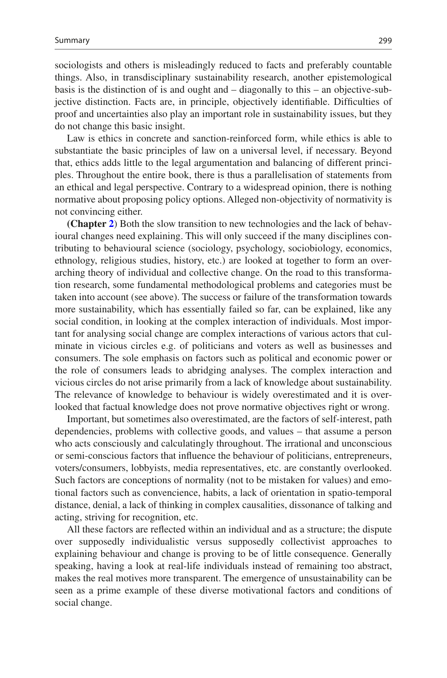sociologists and others is misleadingly reduced to facts and preferably countable things. Also, in transdisciplinary sustainability research, another epistemological basis is the distinction of is and ought and – diagonally to this – an objective-subjective distinction. Facts are, in principle, objectively identifiable. Difficulties of proof and uncertainties also play an important role in sustainability issues, but they do not change this basic insight.

Law is ethics in concrete and sanction-reinforced form, while ethics is able to substantiate the basic principles of law on a universal level, if necessary. Beyond that, ethics adds little to the legal argumentation and balancing of different principles. Throughout the entire book, there is thus a parallelisation of statements from an ethical and legal perspective. Contrary to a widespread opinion, there is nothing normative about proposing policy options. Alleged non-objectivity of normativity is not convincing either.

**(Chapter [2](https://doi.org/10.1007/978-3-030-19277-8_2)**) Both the slow transition to new technologies and the lack of behavioural changes need explaining. This will only succeed if the many disciplines contributing to behavioural science (sociology, psychology, sociobiology, economics, ethnology, religious studies, history, etc.) are looked at together to form an overarching theory of individual and collective change. On the road to this transformation research, some fundamental methodological problems and categories must be taken into account (see above). The success or failure of the transformation towards more sustainability, which has essentially failed so far, can be explained, like any social condition, in looking at the complex interaction of individuals. Most important for analysing social change are complex interactions of various actors that culminate in vicious circles e.g. of politicians and voters as well as businesses and consumers. The sole emphasis on factors such as political and economic power or the role of consumers leads to abridging analyses. The complex interaction and vicious circles do not arise primarily from a lack of knowledge about sustainability. The relevance of knowledge to behaviour is widely overestimated and it is overlooked that factual knowledge does not prove normative objectives right or wrong.

Important, but sometimes also overestimated, are the factors of self-interest, path dependencies, problems with collective goods, and values – that assume a person who acts consciously and calculatingly throughout. The irrational and unconscious or semi-conscious factors that influence the behaviour of politicians, entrepreneurs, voters/consumers, lobbyists, media representatives, etc. are constantly overlooked. Such factors are conceptions of normality (not to be mistaken for values) and emotional factors such as convencience, habits, a lack of orientation in spatio-temporal distance, denial, a lack of thinking in complex causalities, dissonance of talking and acting, striving for recognition, etc.

All these factors are reflected within an individual and as a structure; the dispute over supposedly individualistic versus supposedly collectivist approaches to explaining behaviour and change is proving to be of little consequence. Generally speaking, having a look at real-life individuals instead of remaining too abstract, makes the real motives more transparent. The emergence of unsustainability can be seen as a prime example of these diverse motivational factors and conditions of social change.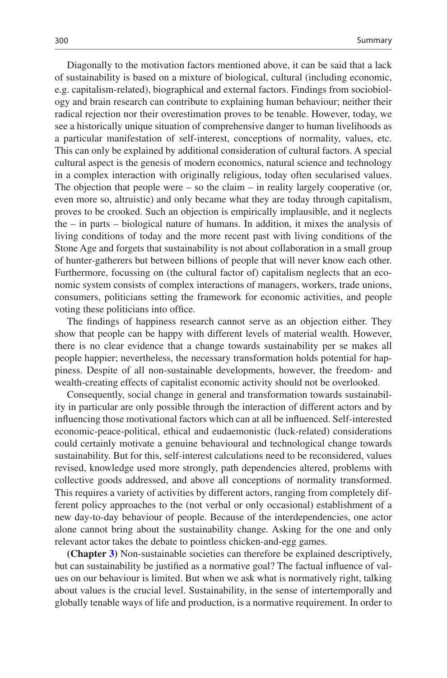Diagonally to the motivation factors mentioned above, it can be said that a lack of sustainability is based on a mixture of biological, cultural (including economic, e.g. capitalism-related), biographical and external factors. Findings from sociobiology and brain research can contribute to explaining human behaviour; neither their radical rejection nor their overestimation proves to be tenable. However, today, we see a historically unique situation of comprehensive danger to human livelihoods as a particular manifestation of self-interest, conceptions of normality, values, etc. This can only be explained by additional consideration of cultural factors. A special cultural aspect is the genesis of modern economics, natural science and technology in a complex interaction with originally religious, today often secularised values. The objection that people were  $-$  so the claim  $-$  in reality largely cooperative (or, even more so, altruistic) and only became what they are today through capitalism, proves to be crooked. Such an objection is empirically implausible, and it neglects the – in parts – biological nature of humans. In addition, it mixes the analysis of living conditions of today and the more recent past with living conditions of the Stone Age and forgets that sustainability is not about collaboration in a small group of hunter-gatherers but between billions of people that will never know each other. Furthermore, focussing on (the cultural factor of) capitalism neglects that an economic system consists of complex interactions of managers, workers, trade unions, consumers, politicians setting the framework for economic activities, and people voting these politicians into office.

The findings of happiness research cannot serve as an objection either. They show that people can be happy with different levels of material wealth. However, there is no clear evidence that a change towards sustainability per se makes all people happier; nevertheless, the necessary transformation holds potential for happiness. Despite of all non-sustainable developments, however, the freedom- and wealth-creating effects of capitalist economic activity should not be overlooked.

Consequently, social change in general and transformation towards sustainability in particular are only possible through the interaction of different actors and by influencing those motivational factors which can at all be influenced. Self-interested economic-peace-political, ethical and eudaemonistic (luck-related) considerations could certainly motivate a genuine behavioural and technological change towards sustainability. But for this, self-interest calculations need to be reconsidered, values revised, knowledge used more strongly, path dependencies altered, problems with collective goods addressed, and above all conceptions of normality transformed. This requires a variety of activities by different actors, ranging from completely different policy approaches to the (not verbal or only occasional) establishment of a new day-to-day behaviour of people. Because of the interdependencies, one actor alone cannot bring about the sustainability change. Asking for the one and only relevant actor takes the debate to pointless chicken-and-egg games.

**(Chapter [3](https://doi.org/10.1007/978-3-030-19277-8_3))** Non-sustainable societies can therefore be explained descriptively, but can sustainability be justified as a normative goal? The factual influence of values on our behaviour is limited. But when we ask what is normatively right, talking about values is the crucial level. Sustainability, in the sense of intertemporally and globally tenable ways of life and production, is a normative requirement. In order to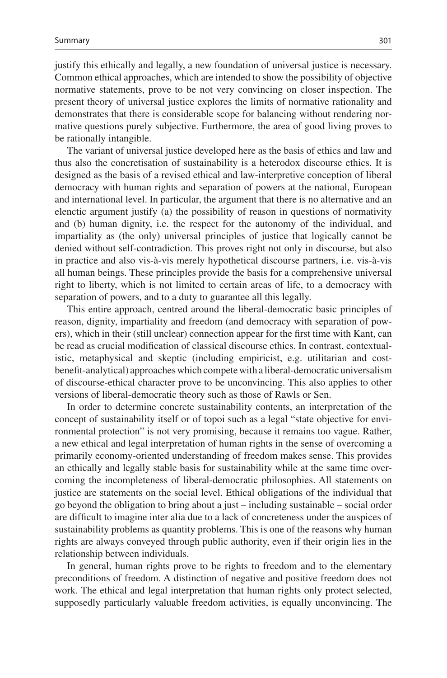justify this ethically and legally, a new foundation of universal justice is necessary. Common ethical approaches, which are intended to show the possibility of objective normative statements, prove to be not very convincing on closer inspection. The present theory of universal justice explores the limits of normative rationality and demonstrates that there is considerable scope for balancing without rendering normative questions purely subjective. Furthermore, the area of good living proves to be rationally intangible.

The variant of universal justice developed here as the basis of ethics and law and thus also the concretisation of sustainability is a heterodox discourse ethics. It is designed as the basis of a revised ethical and law-interpretive conception of liberal democracy with human rights and separation of powers at the national, European and international level. In particular, the argument that there is no alternative and an elenctic argument justify (a) the possibility of reason in questions of normativity and (b) human dignity, i.e. the respect for the autonomy of the individual, and impartiality as (the only) universal principles of justice that logically cannot be denied without self-contradiction. This proves right not only in discourse, but also in practice and also vis-à-vis merely hypothetical discourse partners, i.e. vis-à-vis all human beings. These principles provide the basis for a comprehensive universal right to liberty, which is not limited to certain areas of life, to a democracy with separation of powers, and to a duty to guarantee all this legally.

This entire approach, centred around the liberal-democratic basic principles of reason, dignity, impartiality and freedom (and democracy with separation of powers), which in their (still unclear) connection appear for the first time with Kant, can be read as crucial modification of classical discourse ethics. In contrast, contextualistic, metaphysical and skeptic (including empiricist, e.g. utilitarian and costbenefit-analytical) approaches which compete with a liberal-democratic universalism of discourse-ethical character prove to be unconvincing. This also applies to other versions of liberal-democratic theory such as those of Rawls or Sen.

In order to determine concrete sustainability contents, an interpretation of the concept of sustainability itself or of topoi such as a legal "state objective for environmental protection" is not very promising, because it remains too vague. Rather, a new ethical and legal interpretation of human rights in the sense of overcoming a primarily economy-oriented understanding of freedom makes sense. This provides an ethically and legally stable basis for sustainability while at the same time overcoming the incompleteness of liberal-democratic philosophies. All statements on justice are statements on the social level. Ethical obligations of the individual that go beyond the obligation to bring about a just – including sustainable – social order are difficult to imagine inter alia due to a lack of concreteness under the auspices of sustainability problems as quantity problems. This is one of the reasons why human rights are always conveyed through public authority, even if their origin lies in the relationship between individuals.

In general, human rights prove to be rights to freedom and to the elementary preconditions of freedom. A distinction of negative and positive freedom does not work. The ethical and legal interpretation that human rights only protect selected, supposedly particularly valuable freedom activities, is equally unconvincing. The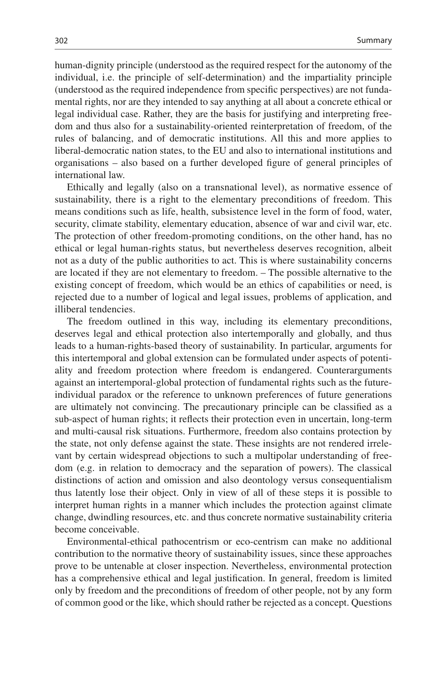human-dignity principle (understood as the required respect for the autonomy of the individual, i.e. the principle of self-determination) and the impartiality principle (understood as the required independence from specific perspectives) are not fundamental rights, nor are they intended to say anything at all about a concrete ethical or legal individual case. Rather, they are the basis for justifying and interpreting freedom and thus also for a sustainability-oriented reinterpretation of freedom, of the rules of balancing, and of democratic institutions. All this and more applies to liberal-democratic nation states, to the EU and also to international institutions and organisations – also based on a further developed figure of general principles of international law.

Ethically and legally (also on a transnational level), as normative essence of sustainability, there is a right to the elementary preconditions of freedom. This means conditions such as life, health, subsistence level in the form of food, water, security, climate stability, elementary education, absence of war and civil war, etc. The protection of other freedom-promoting conditions, on the other hand, has no ethical or legal human-rights status, but nevertheless deserves recognition, albeit not as a duty of the public authorities to act. This is where sustainability concerns are located if they are not elementary to freedom. – The possible alternative to the existing concept of freedom, which would be an ethics of capabilities or need, is rejected due to a number of logical and legal issues, problems of application, and illiberal tendencies.

The freedom outlined in this way, including its elementary preconditions, deserves legal and ethical protection also intertemporally and globally, and thus leads to a human-rights-based theory of sustainability. In particular, arguments for this intertemporal and global extension can be formulated under aspects of potentiality and freedom protection where freedom is endangered. Counterarguments against an intertemporal-global protection of fundamental rights such as the futureindividual paradox or the reference to unknown preferences of future generations are ultimately not convincing. The precautionary principle can be classified as a sub-aspect of human rights; it reflects their protection even in uncertain, long-term and multi-causal risk situations. Furthermore, freedom also contains protection by the state, not only defense against the state. These insights are not rendered irrelevant by certain widespread objections to such a multipolar understanding of freedom (e.g. in relation to democracy and the separation of powers). The classical distinctions of action and omission and also deontology versus consequentialism thus latently lose their object. Only in view of all of these steps it is possible to interpret human rights in a manner which includes the protection against climate change, dwindling resources, etc. and thus concrete normative sustainability criteria become conceivable.

Environmental-ethical pathocentrism or eco-centrism can make no additional contribution to the normative theory of sustainability issues, since these approaches prove to be untenable at closer inspection. Nevertheless, environmental protection has a comprehensive ethical and legal justification. In general, freedom is limited only by freedom and the preconditions of freedom of other people, not by any form of common good or the like, which should rather be rejected as a concept. Questions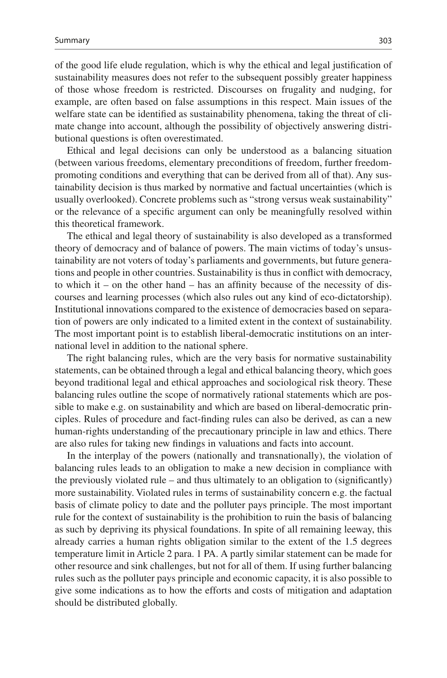of the good life elude regulation, which is why the ethical and legal justification of sustainability measures does not refer to the subsequent possibly greater happiness of those whose freedom is restricted. Discourses on frugality and nudging, for example, are often based on false assumptions in this respect. Main issues of the welfare state can be identified as sustainability phenomena, taking the threat of climate change into account, although the possibility of objectively answering distributional questions is often overestimated.

Ethical and legal decisions can only be understood as a balancing situation (between various freedoms, elementary preconditions of freedom, further freedompromoting conditions and everything that can be derived from all of that). Any sustainability decision is thus marked by normative and factual uncertainties (which is usually overlooked). Concrete problems such as "strong versus weak sustainability" or the relevance of a specific argument can only be meaningfully resolved within this theoretical framework.

The ethical and legal theory of sustainability is also developed as a transformed theory of democracy and of balance of powers. The main victims of today's unsustainability are not voters of today's parliaments and governments, but future generations and people in other countries. Sustainability is thus in conflict with democracy, to which it – on the other hand – has an affinity because of the necessity of discourses and learning processes (which also rules out any kind of eco-dictatorship). Institutional innovations compared to the existence of democracies based on separation of powers are only indicated to a limited extent in the context of sustainability. The most important point is to establish liberal-democratic institutions on an international level in addition to the national sphere.

The right balancing rules, which are the very basis for normative sustainability statements, can be obtained through a legal and ethical balancing theory, which goes beyond traditional legal and ethical approaches and sociological risk theory. These balancing rules outline the scope of normatively rational statements which are possible to make e.g. on sustainability and which are based on liberal-democratic principles. Rules of procedure and fact-finding rules can also be derived, as can a new human-rights understanding of the precautionary principle in law and ethics. There are also rules for taking new findings in valuations and facts into account.

In the interplay of the powers (nationally and transnationally), the violation of balancing rules leads to an obligation to make a new decision in compliance with the previously violated rule – and thus ultimately to an obligation to (significantly) more sustainability. Violated rules in terms of sustainability concern e.g. the factual basis of climate policy to date and the polluter pays principle. The most important rule for the context of sustainability is the prohibition to ruin the basis of balancing as such by depriving its physical foundations. In spite of all remaining leeway, this already carries a human rights obligation similar to the extent of the 1.5 degrees temperature limit in Article 2 para. 1 PA. A partly similar statement can be made for other resource and sink challenges, but not for all of them. If using further balancing rules such as the polluter pays principle and economic capacity, it is also possible to give some indications as to how the efforts and costs of mitigation and adaptation should be distributed globally.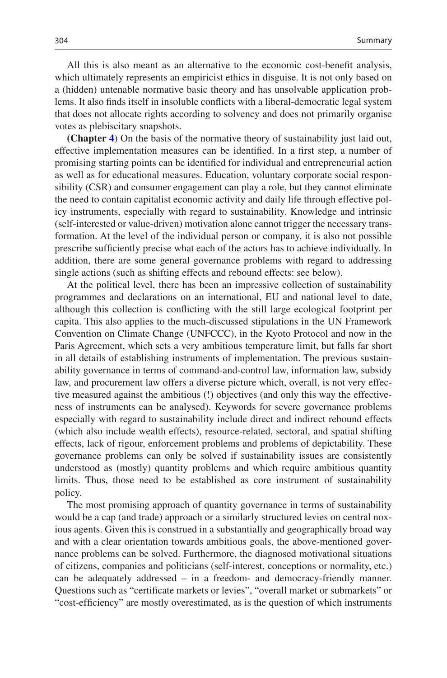All this is also meant as an alternative to the economic cost-benefit analysis, which ultimately represents an empiricist ethics in disguise. It is not only based on a (hidden) untenable normative basic theory and has unsolvable application problems. It also finds itself in insoluble conflicts with a liberal-democratic legal system that does not allocate rights according to solvency and does not primarily organise votes as plebiscitary snapshots.

**(Chapter [4](https://doi.org/10.1007/978-3-030-19277-8_4)**) On the basis of the normative theory of sustainability just laid out, effective implementation measures can be identified. In a first step, a number of promising starting points can be identified for individual and entrepreneurial action as well as for educational measures. Education, voluntary corporate social responsibility (CSR) and consumer engagement can play a role, but they cannot eliminate the need to contain capitalist economic activity and daily life through effective policy instruments, especially with regard to sustainability. Knowledge and intrinsic (self-interested or value-driven) motivation alone cannot trigger the necessary transformation. At the level of the individual person or company, it is also not possible prescribe sufficiently precise what each of the actors has to achieve individually. In addition, there are some general governance problems with regard to addressing single actions (such as shifting effects and rebound effects: see below).

At the political level, there has been an impressive collection of sustainability programmes and declarations on an international, EU and national level to date, although this collection is conflicting with the still large ecological footprint per capita. This also applies to the much-discussed stipulations in the UN Framework Convention on Climate Change (UNFCCC), in the Kyoto Protocol and now in the Paris Agreement, which sets a very ambitious temperature limit, but falls far short in all details of establishing instruments of implementation. The previous sustainability governance in terms of command-and-control law, information law, subsidy law, and procurement law offers a diverse picture which, overall, is not very effective measured against the ambitious (!) objectives (and only this way the effectiveness of instruments can be analysed). Keywords for severe governance problems especially with regard to sustainability include direct and indirect rebound effects (which also include wealth effects), resource-related, sectoral, and spatial shifting effects, lack of rigour, enforcement problems and problems of depictability. These governance problems can only be solved if sustainability issues are consistently understood as (mostly) quantity problems and which require ambitious quantity limits. Thus, those need to be established as core instrument of sustainability policy.

The most promising approach of quantity governance in terms of sustainability would be a cap (and trade) approach or a similarly structured levies on central noxious agents. Given this is construed in a substantially and geographically broad way and with a clear orientation towards ambitious goals, the above-mentioned governance problems can be solved. Furthermore, the diagnosed motivational situations of citizens, companies and politicians (self-interest, conceptions or normality, etc.) can be adequately addressed  $-$  in a freedom- and democracy-friendly manner. Questions such as "certificate markets or levies", "overall market or submarkets" or "cost-efficiency" are mostly overestimated, as is the question of which instruments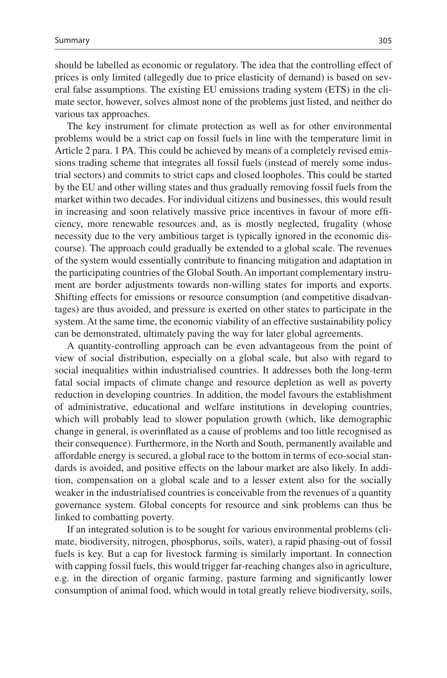should be labelled as economic or regulatory. The idea that the controlling effect of prices is only limited (allegedly due to price elasticity of demand) is based on several false assumptions. The existing EU emissions trading system (ETS) in the climate sector, however, solves almost none of the problems just listed, and neither do various tax approaches.

The key instrument for climate protection as well as for other environmental problems would be a strict cap on fossil fuels in line with the temperature limit in Article 2 para. 1 PA. This could be achieved by means of a completely revised emissions trading scheme that integrates all fossil fuels (instead of merely some industrial sectors) and commits to strict caps and closed loopholes. This could be started by the EU and other willing states and thus gradually removing fossil fuels from the market within two decades. For individual citizens and businesses, this would result in increasing and soon relatively massive price incentives in favour of more efficiency, more renewable resources and, as is mostly neglected, frugality (whose necessity due to the very ambitious target is typically ignored in the economic discourse). The approach could gradually be extended to a global scale. The revenues of the system would essentially contribute to financing mitigation and adaptation in the participating countries of the Global South. An important complementary instrument are border adjustments towards non-willing states for imports and exports. Shifting effects for emissions or resource consumption (and competitive disadvantages) are thus avoided, and pressure is exerted on other states to participate in the system. At the same time, the economic viability of an effective sustainability policy can be demonstrated, ultimately paving the way for later global agreements.

A quantity-controlling approach can be even advantageous from the point of view of social distribution, especially on a global scale, but also with regard to social inequalities within industrialised countries. It addresses both the long-term fatal social impacts of climate change and resource depletion as well as poverty reduction in developing countries. In addition, the model favours the establishment of administrative, educational and welfare institutions in developing countries, which will probably lead to slower population growth (which, like demographic change in general, is overinflated as a cause of problems and too little recognised as their consequence). Furthermore, in the North and South, permanently available and affordable energy is secured, a global race to the bottom in terms of eco-social standards is avoided, and positive effects on the labour market are also likely. In addition, compensation on a global scale and to a lesser extent also for the socially weaker in the industrialised countries is conceivable from the revenues of a quantity governance system. Global concepts for resource and sink problems can thus be linked to combatting poverty.

If an integrated solution is to be sought for various environmental problems (climate, biodiversity, nitrogen, phosphorus, soils, water), a rapid phasing-out of fossil fuels is key. But a cap for livestock farming is similarly important. In connection with capping fossil fuels, this would trigger far-reaching changes also in agriculture, e.g. in the direction of organic farming, pasture farming and significantly lower consumption of animal food, which would in total greatly relieve biodiversity, soils,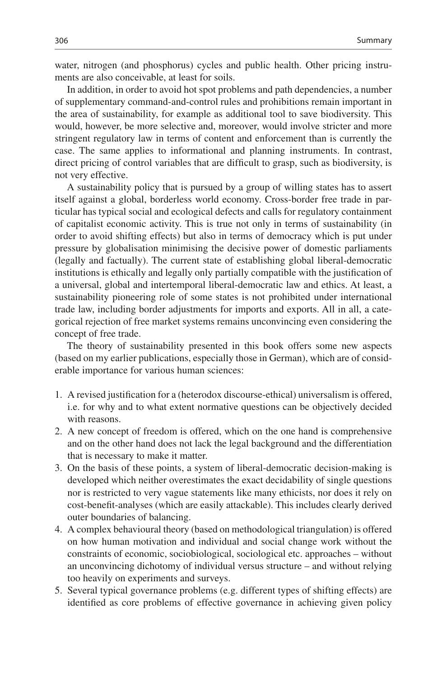water, nitrogen (and phosphorus) cycles and public health. Other pricing instruments are also conceivable, at least for soils.

In addition, in order to avoid hot spot problems and path dependencies, a number of supplementary command-and-control rules and prohibitions remain important in the area of sustainability, for example as additional tool to save biodiversity. This would, however, be more selective and, moreover, would involve stricter and more stringent regulatory law in terms of content and enforcement than is currently the case. The same applies to informational and planning instruments. In contrast, direct pricing of control variables that are difficult to grasp, such as biodiversity, is not very effective.

A sustainability policy that is pursued by a group of willing states has to assert itself against a global, borderless world economy. Cross-border free trade in particular has typical social and ecological defects and calls for regulatory containment of capitalist economic activity. This is true not only in terms of sustainability (in order to avoid shifting effects) but also in terms of democracy which is put under pressure by globalisation minimising the decisive power of domestic parliaments (legally and factually). The current state of establishing global liberal-democratic institutions is ethically and legally only partially compatible with the justification of a universal, global and intertemporal liberal-democratic law and ethics. At least, a sustainability pioneering role of some states is not prohibited under international trade law, including border adjustments for imports and exports. All in all, a categorical rejection of free market systems remains unconvincing even considering the concept of free trade.

The theory of sustainability presented in this book offers some new aspects (based on my earlier publications, especially those in German), which are of considerable importance for various human sciences:

- 1. A revised justification for a (heterodox discourse-ethical) universalism is offered, i.e. for why and to what extent normative questions can be objectively decided with reasons.
- 2. A new concept of freedom is offered, which on the one hand is comprehensive and on the other hand does not lack the legal background and the differentiation that is necessary to make it matter.
- 3. On the basis of these points, a system of liberal-democratic decision-making is developed which neither overestimates the exact decidability of single questions nor is restricted to very vague statements like many ethicists, nor does it rely on cost-benefit-analyses (which are easily attackable). This includes clearly derived outer boundaries of balancing.
- 4. A complex behavioural theory (based on methodological triangulation) is offered on how human motivation and individual and social change work without the constraints of economic, sociobiological, sociological etc. approaches – without an unconvincing dichotomy of individual versus structure – and without relying too heavily on experiments and surveys.
- 5. Several typical governance problems (e.g. different types of shifting effects) are identified as core problems of effective governance in achieving given policy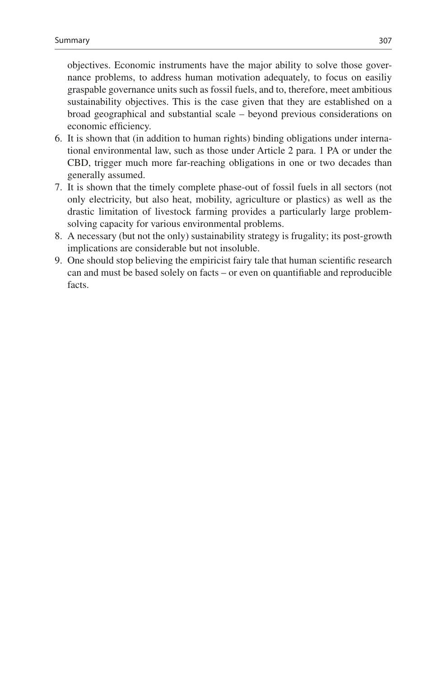objectives. Economic instruments have the major ability to solve those governance problems, to address human motivation adequately, to focus on easiliy graspable governance units such as fossil fuels, and to, therefore, meet ambitious sustainability objectives. This is the case given that they are established on a broad geographical and substantial scale – beyond previous considerations on economic efficiency.

- 6. It is shown that (in addition to human rights) binding obligations under international environmental law, such as those under Article 2 para. 1 PA or under the CBD, trigger much more far-reaching obligations in one or two decades than generally assumed.
- 7. It is shown that the timely complete phase-out of fossil fuels in all sectors (not only electricity, but also heat, mobility, agriculture or plastics) as well as the drastic limitation of livestock farming provides a particularly large problemsolving capacity for various environmental problems.
- 8. A necessary (but not the only) sustainability strategy is frugality; its post-growth implications are considerable but not insoluble.
- 9. One should stop believing the empiricist fairy tale that human scientific research can and must be based solely on facts – or even on quantifiable and reproducible facts.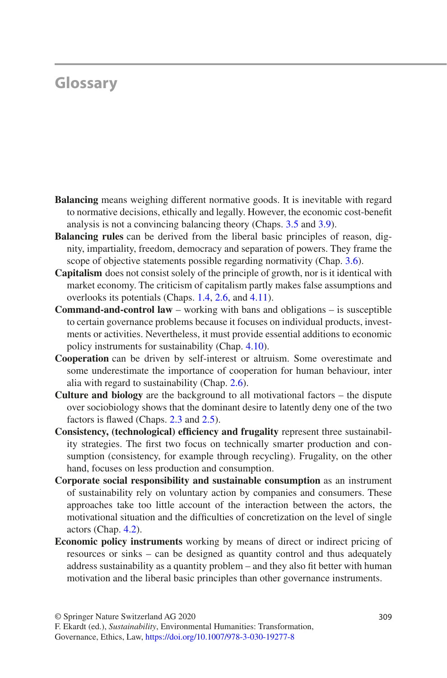# **Glossary**

- **Balancing** means weighing different normative goods. It is inevitable with regard to normative decisions, ethically and legally. However, the economic cost-benefit analysis is not a convincing balancing theory (Chaps. [3.5](https://doi.org/10.1007/978-3-030-19277-8_3) and [3.9\)](https://doi.org/10.1007/978-3-030-19277-8_3).
- **Balancing rules** can be derived from the liberal basic principles of reason, dignity, impartiality, freedom, democracy and separation of powers. They frame the scope of objective statements possible regarding normativity (Chap. [3.6](https://doi.org/10.1007/978-3-030-19277-8_3)).
- **Capitalism** does not consist solely of the principle of growth, nor is it identical with market economy. The criticism of capitalism partly makes false assumptions and overlooks its potentials (Chaps. [1.4,](https://doi.org/10.1007/978-3-030-19277-8_1) [2.6](https://doi.org/10.1007/978-3-030-19277-8_2), and [4.11\)](https://doi.org/10.1007/978-3-030-19277-8_4).
- **Command-and-control law** working with bans and obligations is susceptible to certain governance problems because it focuses on individual products, investments or activities. Nevertheless, it must provide essential additions to economic policy instruments for sustainability (Chap. [4.10](https://doi.org/10.1007/978-3-030-19277-8_4)).
- **Cooperation** can be driven by self-interest or altruism. Some overestimate and some underestimate the importance of cooperation for human behaviour, inter alia with regard to sustainability (Chap. [2.6\)](https://doi.org/10.1007/978-3-030-19277-8_2).
- **Culture and biology** are the background to all motivational factors the dispute over sociobiology shows that the dominant desire to latently deny one of the two factors is flawed (Chaps. [2.3](https://doi.org/10.1007/978-3-030-19277-8_2) and [2.5](https://doi.org/10.1007/978-3-030-19277-8_2)).
- **Consistency, (technological) efficiency and frugality** represent three sustainability strategies. The first two focus on technically smarter production and consumption (consistency, for example through recycling). Frugality, on the other hand, focuses on less production and consumption.
- **Corporate social responsibility and sustainable consumption** as an instrument of sustainability rely on voluntary action by companies and consumers. These approaches take too little account of the interaction between the actors, the motivational situation and the difficulties of concretization on the level of single actors (Chap. [4.2](https://doi.org/10.1007/978-3-030-19277-8_4)).
- **Economic policy instruments** working by means of direct or indirect pricing of resources or sinks – can be designed as quantity control and thus adequately address sustainability as a quantity problem – and they also fit better with human motivation and the liberal basic principles than other governance instruments.

© Springer Nature Switzerland AG 2020 309

F. Ekardt (ed.), *Sustainability*, Environmental Humanities: Transformation, Governance, Ethics, Law,<https://doi.org/10.1007/978-3-030-19277-8>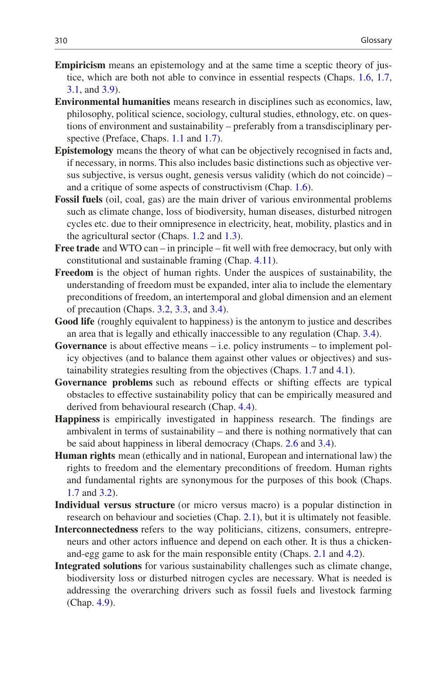- **Empiricism** means an epistemology and at the same time a sceptic theory of justice, which are both not able to convince in essential respects (Chaps. [1.6,](https://doi.org/10.1007/978-3-030-19277-8_1) [1.7](https://doi.org/10.1007/978-3-030-19277-8_1), [3.1](https://doi.org/10.1007/978-3-030-19277-8_3), and [3.9\)](https://doi.org/10.1007/978-3-030-19277-8_3).
- **Environmental humanities** means research in disciplines such as economics, law, philosophy, political science, sociology, cultural studies, ethnology, etc. on questions of environment and sustainability – preferably from a transdisciplinary per-spective (Preface, Chaps. [1.1](https://doi.org/10.1007/978-3-030-19277-8_1) and [1.7](https://doi.org/10.1007/978-3-030-19277-8_1)).
- **Epistemology** means the theory of what can be objectively recognised in facts and, if necessary, in norms. This also includes basic distinctions such as objective versus subjective, is versus ought, genesis versus validity (which do not coincide) – and a critique of some aspects of constructivism (Chap. [1.6](https://doi.org/10.1007/978-3-030-19277-8_1)).
- **Fossil fuels** (oil, coal, gas) are the main driver of various environmental problems such as climate change, loss of biodiversity, human diseases, disturbed nitrogen cycles etc. due to their omnipresence in electricity, heat, mobility, plastics and in the agricultural sector (Chaps. [1.2](https://doi.org/10.1007/978-3-030-19277-8_1) and [1.3](https://doi.org/10.1007/978-3-030-19277-8_1)).
- **Free trade** and WTO can in principle fit well with free democracy, but only with constitutional and sustainable framing (Chap. [4.11\)](https://doi.org/10.1007/978-3-030-19277-8_4).
- **Freedom** is the object of human rights. Under the auspices of sustainability, the understanding of freedom must be expanded, inter alia to include the elementary preconditions of freedom, an intertemporal and global dimension and an element of precaution (Chaps. [3.2](https://doi.org/10.1007/978-3-030-19277-8_3), [3.3,](https://doi.org/10.1007/978-3-030-19277-8_3) and [3.4](https://doi.org/10.1007/978-3-030-19277-8_3)).
- **Good life** (roughly equivalent to happiness) is the antonym to justice and describes an area that is legally and ethically inaccessible to any regulation (Chap. [3.4\)](https://doi.org/10.1007/978-3-030-19277-8_3).
- **Governance** is about effective means i.e. policy instruments to implement policy objectives (and to balance them against other values or objectives) and sustainability strategies resulting from the objectives (Chaps. [1.7](https://doi.org/10.1007/978-3-030-19277-8_1) and [4.1\)](https://doi.org/10.1007/978-3-030-19277-8_4).
- **Governance problems** such as rebound effects or shifting effects are typical obstacles to effective sustainability policy that can be empirically measured and derived from behavioural research (Chap. [4.4](https://doi.org/10.1007/978-3-030-19277-8_4)).
- **Happiness** is empirically investigated in happiness research. The findings are ambivalent in terms of sustainability – and there is nothing normatively that can be said about happiness in liberal democracy (Chaps. [2.6](https://doi.org/10.1007/978-3-030-19277-8_2) and [3.4](https://doi.org/10.1007/978-3-030-19277-8_3)).
- **Human rights** mean (ethically and in national, European and international law) the rights to freedom and the elementary preconditions of freedom. Human rights and fundamental rights are synonymous for the purposes of this book (Chaps. [1.7](https://doi.org/10.1007/978-3-030-19277-8_1) and [3.2](https://doi.org/10.1007/978-3-030-19277-8_3)).
- **Individual versus structure** (or micro versus macro) is a popular distinction in research on behaviour and societies (Chap. [2.1](https://doi.org/10.1007/978-3-030-19277-8_2)), but it is ultimately not feasible.
- **Interconnectedness** refers to the way politicians, citizens, consumers, entrepreneurs and other actors influence and depend on each other. It is thus a chickenand-egg game to ask for the main responsible entity (Chaps. [2.1](https://doi.org/10.1007/978-3-030-19277-8_2) and [4.2](https://doi.org/10.1007/978-3-030-19277-8_4)).
- **Integrated solutions** for various sustainability challenges such as climate change, biodiversity loss or disturbed nitrogen cycles are necessary. What is needed is addressing the overarching drivers such as fossil fuels and livestock farming (Chap. [4.9\)](https://doi.org/10.1007/978-3-030-19277-8_4).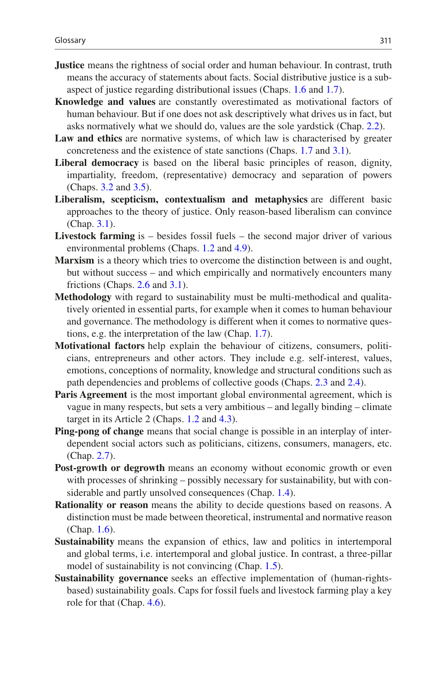- **Justice** means the rightness of social order and human behaviour. In contrast, truth means the accuracy of statements about facts. Social distributive justice is a subaspect of justice regarding distributional issues (Chaps. [1.6](https://doi.org/10.1007/978-3-030-19277-8_1) and [1.7](https://doi.org/10.1007/978-3-030-19277-8_1)).
- **Knowledge and values** are constantly overestimated as motivational factors of human behaviour. But if one does not ask descriptively what drives us in fact, but asks normatively what we should do, values are the sole yardstick (Chap. [2.2](https://doi.org/10.1007/978-3-030-19277-8_2)).
- **Law and ethics** are normative systems, of which law is characterised by greater concreteness and the existence of state sanctions (Chaps. [1.7](https://doi.org/10.1007/978-3-030-19277-8_1) and [3.1\)](https://doi.org/10.1007/978-3-030-19277-8_3).
- **Liberal democracy** is based on the liberal basic principles of reason, dignity, impartiality, freedom, (representative) democracy and separation of powers (Chaps. [3.2](https://doi.org/10.1007/978-3-030-19277-8_3) and [3.5\)](https://doi.org/10.1007/978-3-030-19277-8_3).
- **Liberalism, scepticism, contextualism and metaphysics** are different basic approaches to the theory of justice. Only reason-based liberalism can convince (Chap. [3.1\)](https://doi.org/10.1007/978-3-030-19277-8_3).
- **Livestock farming** is besides fossil fuels the second major driver of various environmental problems (Chaps. [1.2](https://doi.org/10.1007/978-3-030-19277-8_1) and [4.9](https://doi.org/10.1007/978-3-030-19277-8_4)).
- **Marxism** is a theory which tries to overcome the distinction between is and ought, but without success – and which empirically and normatively encounters many frictions (Chaps. [2.6](https://doi.org/10.1007/978-3-030-19277-8_2) and [3.1](https://doi.org/10.1007/978-3-030-19277-8_3)).
- **Methodology** with regard to sustainability must be multi-methodical and qualitatively oriented in essential parts, for example when it comes to human behaviour and governance. The methodology is different when it comes to normative questions, e.g. the interpretation of the law (Chap. [1.7\)](https://doi.org/10.1007/978-3-030-19277-8_1).
- **Motivational factors** help explain the behaviour of citizens, consumers, politicians, entrepreneurs and other actors. They include e.g. self-interest, values, emotions, conceptions of normality, knowledge and structural conditions such as path dependencies and problems of collective goods (Chaps. [2.3](https://doi.org/10.1007/978-3-030-19277-8_2) and [2.4](https://doi.org/10.1007/978-3-030-19277-8_2)).
- **Paris Agreement** is the most important global environmental agreement, which is vague in many respects, but sets a very ambitious – and legally binding – climate target in its Article 2 (Chaps. [1.2](https://doi.org/10.1007/978-3-030-19277-8_1) and [4.3](https://doi.org/10.1007/978-3-030-19277-8_4)).
- **Ping-pong of change** means that social change is possible in an interplay of interdependent social actors such as politicians, citizens, consumers, managers, etc. (Chap. [2.7\)](https://doi.org/10.1007/978-3-030-19277-8_2).
- **Post-growth or degrowth** means an economy without economic growth or even with processes of shrinking – possibly necessary for sustainability, but with considerable and partly unsolved consequences (Chap. [1.4](https://doi.org/10.1007/978-3-030-19277-8_1)).
- **Rationality or reason** means the ability to decide questions based on reasons. A distinction must be made between theoretical, instrumental and normative reason (Chap. [1.6\)](https://doi.org/10.1007/978-3-030-19277-8_1).
- **Sustainability** means the expansion of ethics, law and politics in intertemporal and global terms, i.e. intertemporal and global justice. In contrast, a three-pillar model of sustainability is not convincing (Chap. [1.5\)](https://doi.org/10.1007/978-3-030-19277-8_1).
- **Sustainability governance** seeks an effective implementation of (human-rightsbased) sustainability goals. Caps for fossil fuels and livestock farming play a key role for that (Chap. [4.6](https://doi.org/10.1007/978-3-030-19277-8_4)).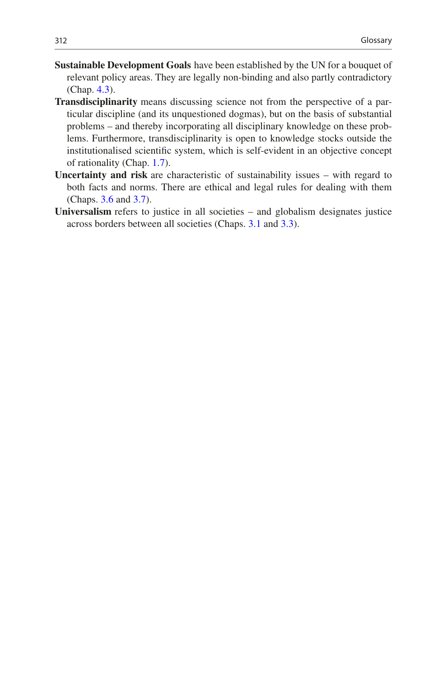- **Sustainable Development Goals** have been established by the UN for a bouquet of relevant policy areas. They are legally non-binding and also partly contradictory (Chap. [4.3\)](https://doi.org/10.1007/978-3-030-19277-8_4).
- **Transdisciplinarity** means discussing science not from the perspective of a particular discipline (and its unquestioned dogmas), but on the basis of substantial problems – and thereby incorporating all disciplinary knowledge on these problems. Furthermore, transdisciplinarity is open to knowledge stocks outside the institutionalised scientific system, which is self-evident in an objective concept of rationality (Chap. [1.7](https://doi.org/10.1007/978-3-030-19277-8_1)).
- **Uncertainty and risk** are characteristic of sustainability issues with regard to both facts and norms. There are ethical and legal rules for dealing with them (Chaps. [3.6](https://doi.org/10.1007/978-3-030-19277-8_3) and [3.7\)](https://doi.org/10.1007/978-3-030-19277-8_3).
- **Universalism** refers to justice in all societies and globalism designates justice across borders between all societies (Chaps. [3.1](https://doi.org/10.1007/978-3-030-19277-8_3) and [3.3\)](https://doi.org/10.1007/978-3-030-19277-8_3).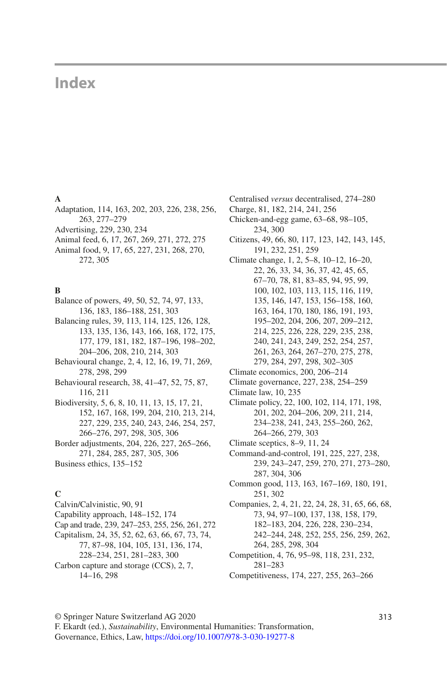# **Index**

### **A**

- Adaptation, 114, 163, 202, 203, 226, 238, 256, 263, 277–279
- Advertising, 229, 230, 234
- Animal feed, 6, 17, 267, 269, 271, 272, 275
- Animal food, 9, 17, 65, 227, 231, 268, 270, 272, 305

### **B**

- Balance of powers, 49, 50, 52, 74, 97, 133, 136, 183, 186–188, 251, 303
- Balancing rules, 39, 113, 114, 125, 126, 128, 133, 135, 136, 143, 166, 168, 172, 175, 177, 179, 181, 182, 187–196, 198–202, 204–206, 208, 210, 214, 303
- Behavioural change, 2, 4, 12, 16, 19, 71, 269, 278, 298, 299
- Behavioural research, 38, 41–47, 52, 75, 87, 116, 211
- Biodiversity, 5, 6, 8, 10, 11, 13, 15, 17, 21, 152, 167, 168, 199, 204, 210, 213, 214, 227, 229, 235, 240, 243, 246, 254, 257, 266–276, 297, 298, 305, 306 Border adjustments, 204, 226, 227, 265–266,
- 271, 284, 285, 287, 305, 306
- Business ethics, 135–152

# **C**

- Calvin/Calvinistic, 90, 91
- Capability approach, 148–152, 174
- Cap and trade, 239, 247–253, 255, 256, 261, 272
- Capitalism, 24, 35, 52, 62, 63, 66, 67, 73, 74,
	- 77, 87–98, 104, 105, 131, 136, 174,
	- 228–234, 251, 281–283, 300
- Carbon capture and storage (CCS), 2, 7, 14–16, 298

Centralised *versus* decentralised, 274–280 Charge, 81, 182, 214, 241, 256 Chicken-and-egg game, 63–68, 98–105, 234, 300 Citizens, 49, 66, 80, 117, 123, 142, 143, 145, 191, 232, 251, 259 Climate change, 1, 2, 5–8, 10–12, 16–20, 22, 26, 33, 34, 36, 37, 42, 45, 65, 67–70, 78, 81, 83–85, 94, 95, 99, 100, 102, 103, 113, 115, 116, 119, 135, 146, 147, 153, 156–158, 160, 163, 164, 170, 180, 186, 191, 193, 195–202, 204, 206, 207, 209–212, 214, 225, 226, 228, 229, 235, 238, 240, 241, 243, 249, 252, 254, 257, 261, 263, 264, 267–270, 275, 278, 279, 284, 297, 298, 302–305 Climate economics, 200, 206–214 Climate governance, 227, 238, 254–259 Climate law, 10, 235 Climate policy, 22, 100, 102, 114, 171, 198, 201, 202, 204–206, 209, 211, 214, 234–238, 241, 243, 255–260, 262, 264–266, 279, 303 Climate sceptics, 8–9, 11, 24 Command-and-control, 191, 225, 227, 238, 239, 243–247, 259, 270, 271, 273–280, 287, 304, 306 Common good, 113, 163, 167–169, 180, 191, 251, 302 Companies, 2, 4, 21, 22, 24, 28, 31, 65, 66, 68, 73, 94, 97–100, 137, 138, 158, 179, 182–183, 204, 226, 228, 230–234, 242–244, 248, 252, 255, 256, 259, 262, 264, 285, 298, 304 Competition, 4, 76, 95–98, 118, 231, 232, 281–283

Competitiveness, 174, 227, 255, 263–266

© Springer Nature Switzerland AG 2020

F. Ekardt (ed.), *Sustainability*, Environmental Humanities: Transformation, Governance, Ethics, Law,<https://doi.org/10.1007/978-3-030-19277-8>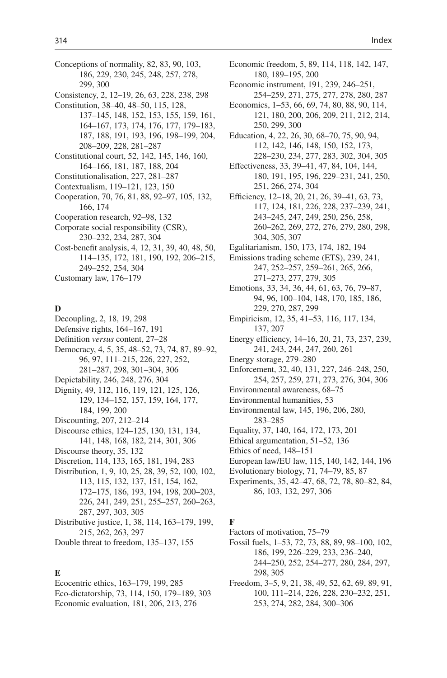- Conceptions of normality, 82, 83, 90, 103, 186, 229, 230, 245, 248, 257, 278, 299, 300
- Consistency, 2, 12–19, 26, 63, 228, 238, 298
- Constitution, 38–40, 48–50, 115, 128, 137–145, 148, 152, 153, 155, 159, 161, 164–167, 173, 174, 176, 177, 179–183, 187, 188, 191, 193, 196, 198–199, 204, 208–209, 228, 281–287
- Constitutional court, 52, 142, 145, 146, 160, 164–166, 181, 187, 188, 204
- Constitutionalisation, 227, 281–287
- Contextualism, 119–121, 123, 150
- Cooperation, 70, 76, 81, 88, 92–97, 105, 132, 166, 174
- Cooperation research, 92–98, 132
- Corporate social responsibility (CSR), 230–232, 234, 287, 304
- Cost-benefit analysis, 4, 12, 31, 39, 40, 48, 50, 114–135, 172, 181, 190, 192, 206–215, 249–252, 254, 304
- Customary law, 176–179

#### **D**

- Decoupling, 2, 18, 19, 298
- Defensive rights, 164–167, 191
- Definition *versus* content, 27–28
- Democracy, 4, 5, 35, 48–52, 73, 74, 87, 89–92, 96, 97, 111–215, 226, 227, 252, 281–287, 298, 301–304, 306
- Depictability, 246, 248, 276, 304
- Dignity, 49, 112, 116, 119, 121, 125, 126, 129, 134–152, 157, 159, 164, 177, 184, 199, 200
- Discounting, 207, 212–214
- Discourse ethics, 124–125, 130, 131, 134, 141, 148, 168, 182, 214, 301, 306
- Discourse theory, 35, 132
- Discretion, 114, 133, 165, 181, 194, 283
- Distribution, 1, 9, 10, 25, 28, 39, 52, 100, 102, 113, 115, 132, 137, 151, 154, 162, 172–175, 186, 193, 194, 198, 200–203, 226, 241, 249, 251, 255–257, 260–263, 287, 297, 303, 305
- Distributive justice, 1, 38, 114, 163–179, 199, 215, 262, 263, 297
- Double threat to freedom, 135–137, 155

#### **E**

- Ecocentric ethics, 163–179, 199, 285
- Eco-dictatorship, 73, 114, 150, 179–189, 303 Economic evaluation, 181, 206, 213, 276
- Economic freedom, 5, 89, 114, 118, 142, 147, 180, 189–195, 200
- Economic instrument, 191, 239, 246–251, 254–259, 271, 275, 277, 278, 280, 287
- Economics, 1–53, 66, 69, 74, 80, 88, 90, 114, 121, 180, 200, 206, 209, 211, 212, 214, 250, 299, 300
- Education, 4, 22, 26, 30, 68–70, 75, 90, 94, 112, 142, 146, 148, 150, 152, 173, 228–230, 234, 277, 283, 302, 304, 305
- Effectiveness, 33, 39–41, 47, 84, 104, 144, 180, 191, 195, 196, 229–231, 241, 250, 251, 266, 274, 304
- Efficiency, 12–18, 20, 21, 26, 39–41, 63, 73, 117, 124, 181, 226, 228, 237–239, 241, 243–245, 247, 249, 250, 256, 258, 260–262, 269, 272, 276, 279, 280, 298, 304, 305, 307
- Egalitarianism, 150, 173, 174, 182, 194
- Emissions trading scheme (ETS), 239, 241, 247, 252–257, 259–261, 265, 266, 271–273, 277, 279, 305
- Emotions, 33, 34, 36, 44, 61, 63, 76, 79–87, 94, 96, 100–104, 148, 170, 185, 186, 229, 270, 287, 299
- Empiricism, 12, 35, 41–53, 116, 117, 134, 137, 207
- Energy efficiency, 14–16, 20, 21, 73, 237, 239, 241, 243, 244, 247, 260, 261
- Energy storage, 279–280
- Enforcement, 32, 40, 131, 227, 246–248, 250, 254, 257, 259, 271, 273, 276, 304, 306
- Environmental awareness, 68–75
- Environmental humanities, 53
- Environmental law, 145, 196, 206, 280, 283–285
- Equality, 37, 140, 164, 172, 173, 201
- Ethical argumentation, 51–52, 136
- Ethics of need, 148–151
- European law/EU law, 115, 140, 142, 144, 196
- Evolutionary biology, 71, 74–79, 85, 87
- Experiments, 35, 42–47, 68, 72, 78, 80–82, 84, 86, 103, 132, 297, 306

#### **F**

- Factors of motivation, 75–79
- Fossil fuels, 1–53, 72, 73, 88, 89, 98–100, 102, 186, 199, 226–229, 233, 236–240, 244–250, 252, 254–277, 280, 284, 297, 298, 305
- Freedom, 3–5, 9, 21, 38, 49, 52, 62, 69, 89, 91, 100, 111–214, 226, 228, 230–232, 251, 253, 274, 282, 284, 300–306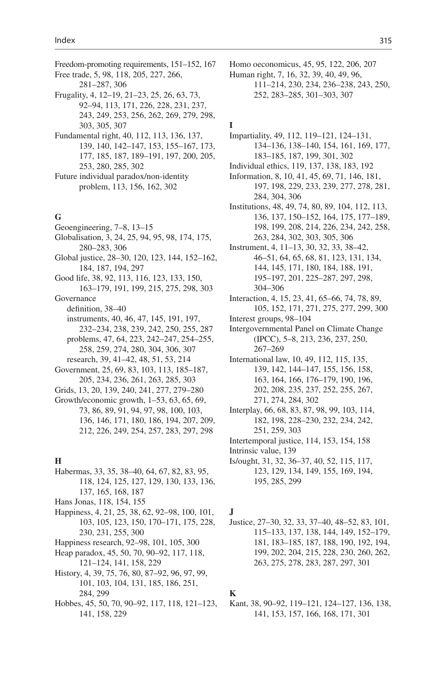Freedom-promoting requirements, 151–152, 167

Free trade, 5, 98, 118, 205, 227, 266, 281–287, 306

- Frugality, 4, 12–19, 21–23, 25, 26, 63, 73, 92–94, 113, 171, 226, 228, 231, 237, 243, 249, 253, 256, 262, 269, 279, 298, 303, 305, 307
- Fundamental right, 40, 112, 113, 136, 137, 139, 140, 142–147, 153, 155–167, 173, 177, 185, 187, 189–191, 197, 200, 205, 253, 280, 285, 302
- Future individual paradox/non-identity problem, 113, 156, 162, 302

#### **G**

- Geoengineering, 7–8, 13–15
- Globalisation, 3, 24, 25, 94, 95, 98, 174, 175, 280–283, 306
- Global justice, 28–30, 120, 123, 144, 152–162, 184, 187, 194, 297
- Good life, 38, 92, 113, 116, 123, 133, 150, 163–179, 191, 199, 215, 275, 298, 303

Governance

- definition, 38–40
- instruments, 40, 46, 47, 145, 191, 197, 232–234, 238, 239, 242, 250, 255, 287 problems, 47, 64, 223, 242–247, 254–255, 258, 259, 274, 280, 304, 306, 307
- research, 39, 41–42, 48, 51, 53, 214
- Government, 25, 69, 83, 103, 113, 185–187, 205, 234, 236, 261, 263, 285, 303
- Grids, 13, 20, 139, 240, 241, 277, 279–280
- Growth/economic growth, 1–53, 63, 65, 69, 73, 86, 89, 91, 94, 97, 98, 100, 103, 136, 146, 171, 180, 186, 194, 207, 209, 212, 226, 249, 254, 257, 283, 297, 298

#### **H**

- Habermas, 33, 35, 38–40, 64, 67, 82, 83, 95, 118, 124, 125, 127, 129, 130, 133, 136, 137, 165, 168, 187
- Hans Jonas, 118, 154, 155
- Happiness, 4, 21, 25, 38, 62, 92–98, 100, 101, 103, 105, 123, 150, 170–171, 175, 228, 230, 231, 255, 300
- Happiness research, 92–98, 101, 105, 300
- Heap paradox, 45, 50, 70, 90–92, 117, 118, 121–124, 141, 158, 229
- History, 4, 39, 75, 76, 80, 87–92, 96, 97, 99, 101, 103, 104, 131, 185, 186, 251, 284, 299
- Hobbes, 45, 50, 70, 90–92, 117, 118, 121–123, 141, 158, 229

Homo oeconomicus, 45, 95, 122, 206, 207

Human right, 7, 16, 32, 39, 40, 49, 96, 111–214, 230, 234, 236–238, 243, 250, 252, 283–285, 301–303, 307

#### **I**

- Impartiality, 49, 112, 119–121, 124–131, 134–136, 138–140, 154, 161, 169, 177, 183–185, 187, 199, 301, 302
- Individual ethics, 119, 137, 138, 183, 192
- Information, 8, 10, 41, 45, 69, 71, 146, 181, 197, 198, 229, 233, 239, 277, 278, 281, 284, 304, 306
- Institutions, 48, 49, 74, 80, 89, 104, 112, 113, 136, 137, 150–152, 164, 175, 177–189, 198, 199, 208, 214, 226, 234, 242, 258, 263, 284, 302, 303, 305, 306
- Instrument, 4, 11–13, 30, 32, 33, 38–42, 46–51, 64, 65, 68, 81, 123, 131, 134, 144, 145, 171, 180, 184, 188, 191, 195–197, 201, 225–287, 297, 298, 304–306
- Interaction, 4, 15, 23, 41, 65–66, 74, 78, 89, 105, 152, 171, 271, 275, 277, 299, 300
- Interest groups, 98–104
- Intergovernmental Panel on Climate Change (IPCC), 5–8, 213, 236, 237, 250, 267–269
- International law, 10, 49, 112, 115, 135, 139, 142, 144–147, 155, 156, 158, 163, 164, 166, 176–179, 190, 196, 202, 208, 235, 237, 252, 255, 267, 271, 274, 284, 302
- Interplay, 66, 68, 83, 87, 98, 99, 103, 114, 182, 198, 228–230, 232, 234, 242, 251, 259, 303
- Intertemporal justice, 114, 153, 154, 158
- Intrinsic value, 139
- Is/ought, 31, 32, 36–37, 40, 52, 115, 117, 123, 129, 134, 149, 155, 169, 194, 195, 285, 299

#### **J**

Justice, 27–30, 32, 33, 37–40, 48–52, 83, 101, 115–133, 137, 138, 144, 149, 152–179, 181, 183–185, 187, 188, 190, 192, 194, 199, 202, 204, 215, 228, 230, 260, 262, 263, 275, 278, 283, 287, 297, 301

### **K**

Kant, 38, 90–92, 119–121, 124–127, 136, 138, 141, 153, 157, 166, 168, 171, 301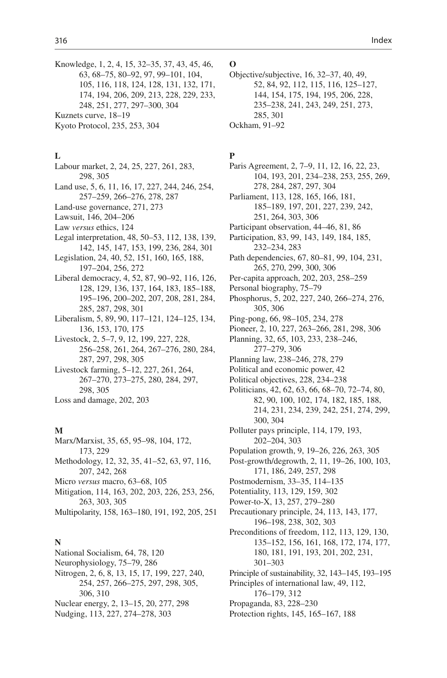Knowledge, 1, 2, 4, 15, 32–35, 37, 43, 45, 46, 63, 68–75, 80–92, 97, 99–101, 104, 105, 116, 118, 124, 128, 131, 132, 171, 174, 194, 206, 209, 213, 228, 229, 233, 248, 251, 277, 297–300, 304 Kuznets curve, 18–19 Kyoto Protocol, 235, 253, 304

## **L**

- Labour market, 2, 24, 25, 227, 261, 283, 298, 305 Land use, 5, 6, 11, 16, 17, 227, 244, 246, 254, 257–259, 266–276, 278, 287 Land-use governance, 271, 273 Lawsuit, 146, 204–206 Law *versus* ethics, 124 Legal interpretation, 48, 50–53, 112, 138, 139, 142, 145, 147, 153, 199, 236, 284, 301 Legislation, 24, 40, 52, 151, 160, 165, 188, 197–204, 256, 272 Liberal democracy, 4, 52, 87, 90–92, 116, 126, 128, 129, 136, 137, 164, 183, 185–188, 195–196, 200–202, 207, 208, 281, 284, 285, 287, 298, 301 Liberalism, 5, 89, 90, 117–121, 124–125, 134,
- 136, 153, 170, 175
- Livestock, 2, 5–7, 9, 12, 199, 227, 228, 256–258, 261, 264, 267–276, 280, 284, 287, 297, 298, 305
- Livestock farming, 5–12, 227, 261, 264, 267–270, 273–275, 280, 284, 297, 298, 305
- Loss and damage, 202, 203

### **M**

- Marx/Marxist, 35, 65, 95–98, 104, 172, 173, 229
- Methodology, 12, 32, 35, 41–52, 63, 97, 116, 207, 242, 268
- Micro *versus* macro, 63–68, 105
- Mitigation, 114, 163, 202, 203, 226, 253, 256, 263, 303, 305
- Multipolarity, 158, 163–180, 191, 192, 205, 251

### **N**

- National Socialism, 64, 78, 120
- Neurophysiology, 75–79, 286
- Nitrogen, 2, 6, 8, 13, 15, 17, 199, 227, 240, 254, 257, 266–275, 297, 298, 305, 306, 310
- Nuclear energy, 2, 13–15, 20, 277, 298
- Nudging, 113, 227, 274–278, 303

#### **O**

Objective/subjective, 16, 32–37, 40, 49, 52, 84, 92, 112, 115, 116, 125–127, 144, 154, 175, 194, 195, 206, 228, 235–238, 241, 243, 249, 251, 273, 285, 301 Ockham, 91–92

## **P**

- Paris Agreement, 2, 7–9, 11, 12, 16, 22, 23, 104, 193, 201, 234–238, 253, 255, 269, 278, 284, 287, 297, 304
- Parliament, 113, 128, 165, 166, 181, 185–189, 197, 201, 227, 239, 242, 251, 264, 303, 306
- Participant observation, 44–46, 81, 86
- Participation, 83, 99, 143, 149, 184, 185, 232–234, 283
- Path dependencies, 67, 80–81, 99, 104, 231, 265, 270, 299, 300, 306
- Per-capita approach, 202, 203, 258–259
- Personal biography, 75–79
- Phosphorus, 5, 202, 227, 240, 266–274, 276, 305, 306
- Ping-pong, 66, 98–105, 234, 278
- Pioneer, 2, 10, 227, 263–266, 281, 298, 306
- Planning, 32, 65, 103, 233, 238–246, 277–279, 306
- Planning law, 238–246, 278, 279
- Political and economic power, 42
- Political objectives, 228, 234–238
- Politicians, 42, 62, 63, 66, 68–70, 72–74, 80, 82, 90, 100, 102, 174, 182, 185, 188, 214, 231, 234, 239, 242, 251, 274, 299, 300, 304
- Polluter pays principle, 114, 179, 193, 202–204, 303
- Population growth, 9, 19–26, 226, 263, 305
- Post-growth/degrowth, 2, 11, 19–26, 100, 103, 171, 186, 249, 257, 298
- Postmodernism, 33–35, 114–135
- Potentiality, 113, 129, 159, 302
- Power-to-X, 13, 257, 279–280
- Precautionary principle, 24, 113, 143, 177, 196–198, 238, 302, 303
- Preconditions of freedom, 112, 113, 129, 130, 135–152, 156, 161, 168, 172, 174, 177, 180, 181, 191, 193, 201, 202, 231, 301–303
- Principle of sustainability, 32, 143–145, 193–195
- Principles of international law, 49, 112,
	- 176–179, 312
- Propaganda, 83, 228–230
- Protection rights, 145, 165–167, 188